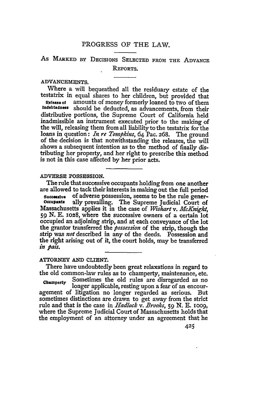# PROGRESS OF THE LAW.

# As MARKED BY DECISIONS **SELECTED** FROM THE ADVANCE REPORTS.

# ADVANCEMENTS.

Where a will bequeathed all the residuary estate of the testatrix in equal shares to her children, but provided that

**Release of** amounts of money formerly loaned to two of them **Indebtedness** should be deducted, as advancements, from their distributive portions, the Supreme Court of California held inadmissible an instrument executed prior to the making of the will, releasing them from all liability to the testatrix for the loans in question: *In re Tompkins,* 64 Pac. 268. The ground of the decision is that notwithstanding the releases, the will shows a subsequent intention as to the method of finally distributing her property, and her right to prescribe this method is not in this case affected **by** her prior acts.

#### **ADVERSE POSSESSION.**

The rule that successive occupants holding from one another are allowed to tack their interests in making out the full period

**sucz.eSSIv of** adverse possession, seems to be the rule gener- **occupats** ally prevailing. The Supreme Judicial Court of Massachusetts applies it in the case of *Wislart v. McKnight,* **59** N. E. **1028,** where the successive owners of a certain lot occupied an adjoining strip, and at each conveyance of the lot the grantor transferred the *possession* of the strip, though the strip was *not* described in any of the deeds. Possession and the right arising out of it, the court holds, may be transferred *in* pai.

#### ATTORNEY AND CLIENT.

There have undoubtedly been great relaxations in regard to the old common-law rules as to champerty, maintenance, etc.

**Champerty** Sometimes the old rules are disregarded as no longer applicable, resting upon a fear of an encouragement of litigation no longer regarded as serious. But sometimes distinctions are drawn to get away from the strict rule and that is the case in *Hadlock v. Brooks, 59* **N. E.** Ioo9, where the Supreme Judicial Court of Massachusetts holds that the employment of an attorney under an agreement that he

425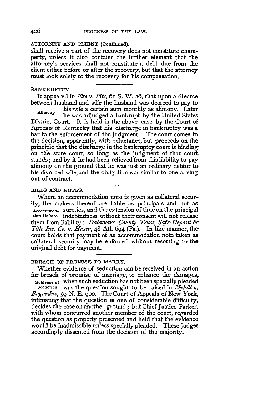# ATTORNEY **AND CLIENT** (Continued).

shall receive a part of the recovery does not constitute champerty, unless it also contains the further element that the attorney's services shall not constitute a debt due from the client either before or after the recovery, but that the attorney must look solely to the recovery for his compensation.

#### **BANKRUPTCY.**

It appeared in *Fite v. Fie,* **6I S.** W. **26,** that upon a divorce between husband and wife the husband was decreed to pay to

his wife a certain sum monthly as alimony. Later **Alimony** he was adjudged a bankrupt **by** the United States District Court. It is held in the above case by the Court of Appeals of Kentucky that his discharge in bankruptcy was a bar to the enforcement of the judgment. The court comes to the decision, apparently, with reluctance, but proceeds on the principle that the discharge in the bankruptcy court is binding on the state court, so long as the judgment of that court stands; and by it he had been relieved from this liability to pay alimony on the ground that he was just an ordinary debtor to. his divorced wife, and the obligation was similar to one arising out of contract.

#### BILLS **AND NOTES.**

Where an accommodation note is given as collateral security, the makers thereof are liable as principals and not as **Accommoda-** sureties, and the extension of time on the principal **atinrlakers** indebtedness without their consent will not release them from liability: *Dalaware County Trust, Safe-Deposit & Title Ins. Co. v. Haser,* 48 At1. 694 (Pa.). In like manner, the court holds that payment of an accommodation note taken as collateral security may be enforced without resorting to theoriginal debt for payment.

# **BREACH OF PROMISE TO MARRY.**

Whether evidence of seduction can be received in an action for breach of promise of marriage, to enhance the damages,

**Evidence of** when such seduction has not been specially pleaded **Seduction** was the question sought to be raised in *Myiill v. Bogardus, 59* **N. E.** 9oo. The Court of Appeals of New York, intimating that the question is one of considerable difficulty, decides the case on another ground; but Chief Justice Parker, with whom concurred another member of the court, regarded the question as properly presented and held that the evidencewould be inadmissible unless specially pleaded. These judgesaccordingly dissented from the decision of the majority.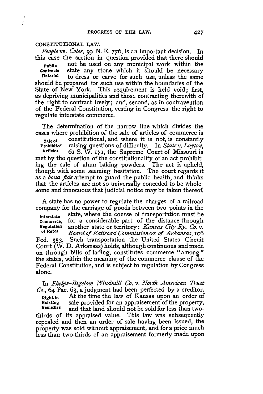# **CONSTITUTIONAL LAW.**

*People* vs. *Coler, 59* **N. E. 776,** is an important decision. In this case the section in question provided that there should **Public** not be used on any municipal work within the Contracts state any stone which it should be necessary naterial to dress or carve for such use, unless the same should be prepared for such use within the boundaries of the State of New York. This requirement is held void; first, as depriving municipalities and those contracting therewith of the right to contract freely; and, second, as in contravention of the Federal Constitution, vesting in Congress the right to regulate interstate commerce.

The determination of the narrow line which divides the cases where prohibition of the sale of articles of commerce is **Sale of** constitutional, and where it is not, is constantly<br>**Prohibited** raising questions of difficulty. In State v. Layton, **Prohibited** raising questions of difficulty. In *State v. Layton,* Articles 61 S. W. 171, the Supreme Court of Missouri is met by the question of the constitutionality of an act prohibiting the sale of alum baking powders. The act is upheld, though with some seeming hesitation. The court regards it as a *bona fide* attempt to guard the public health, and thinks that the articles are not so universally conceded to be Wholesome and innocuous that judicial notice may be taken thereof.

A state has no power to regulate the charges of a railroad company for the carriage of goods between two points in the

**Interstate** state, where the course of transportation must be **Commerce,** for a considerable part of the distance through<br>Regulation another state or territory: *Kansas City Ry*, Ca y, Regulation another state or territory: *Kansas City Ry. Co. v.* Board of Railroad Commissioners of Arkansas, 106 Fed. **353.** Such transportation the United States Circuit Court (W. **D.** Arkansas) holds, although continuous and made on through bills of lading, constitutes commerce "among **"** the states, within the meaning of the commerce clause of the Federal Constitution, and is subject to regulation by Congress alone.

In *Plzelps-Bigelow Windmill Co. v. North American Trust Co.,* 64 Pac. 63, a judgment had been perfected by a creditor. **Right** in At the time the law of Kansas upon an order of **Existing** sale provided for an appraisement of the property, **Remedies** and that land should not be sold for less than twothirds of its appraised value. This law was subsequently repealed and then an order of sale having been issued, the property was sold without appraisement, and for a price much less than two-thirds of an appraisement formerly made upon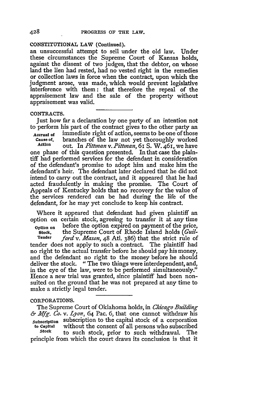# **CONSTITUTIONAL LAW** (Continued).

an unsuccessful attempt to sell under the old law. Under these circumstances the Supreme Court of Kansas holds, against the dissent of two judges, that the debtor, on whose land the lien had rested, had no vested right in the remedies or collection laws in force when the contract, upon which the judgment arose, was made, which would prevent legislative interference with them: that therefore the repeal of the appraisement law and the sale of the property without appraisement was valid.

#### **CONTRACTS.**

Just how far a declaration by one party of an intention not to perform his part of the contract gives to the other party an **Accrual of** immediate right of action, seems to be one of those **cause of.** branches of the law not yet thoroughly worked **Action** out. In *Pittman v.Pittman,* 61 S. W. 461, we have one phase of this question presented. In that case the plain-

tiff had performed services for the defendant in consideration of the defendant's promise to adopt him and make him the defendant's heir. The defendant later declared that he did not intend to carry out the contract, and it appeared that he had acted fraudulently in making the promise. The Court of Appeals of Kentucky holds that no recovery for the value of the services rendered can be had during the life of the defendant, for he may yet conclude to keep his contract.

Where it appeared that defendant had given plaintiff an option on certain stock, agreeing to transfer it at any time

Option on before the option expired on payment of the price,<br>Stock, the Supreme Court of Rhode Island holds (*Guil*the Supreme Court of Rhode Island holds *(Guil-*Tender *ford v. Mason,* 48 Atl. 386) that the strict rule of tender does not apply to such a contract. The plaintiff had no right to the actual transfer before he should pay his money, and the defendant no right to the money before he should deliver the stock. "The two things were interdependent, and, in the eye of the law, were to be performed simultaneously." Hence a new trial was granted, since plaintiff had been nonsuited on the ground that he was not prepared at any time to make a strictly legal tender.

#### CORPORATIONS.

The Supreme Court of Oklahoma holds, in *Chicago Building & Mfg. Co. v. Lyon,* 64 Pac. 6, that one cannot withdraw his **Subscription** subscription to the capital stock of a corporation **to Capital** without the consent of all persons who subscribed **Stock** to such stock, prior to such withdrawal. The principle from which the court draws its conclusion is that it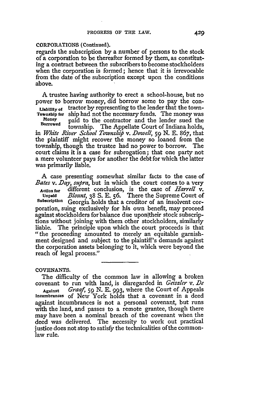# CORPORATIONS (Continued).

regards the subscription **by** a number of persons to the stock of a corporation to be thereafter formed by them, as constituting a contract between the subscribers to become stockholders when the corporation is formed; hence that it is irrevocable from the date of the subscription except upon the conditions above.

A trustee having authority to erect a school-house, but no power to borrow money, did borrow some to pay the con-

**Liability of** tractor by representing to the lender that the town-**Township for** ship had not the necessary funds. The money was **Money** paid to the contractor and the lender sued the

township. The Appellate Court of Indiana holds, in *White River School Township v. Dowell*, 59 N. E. 867, that the plaintiff might recover the money so loaned from the township, though the trustee had no power to borrow. The court claims it is a case for subrogation; that one party not a mere volunteer pays for another the debt for which the latter was primarily liable.

A case presenting somewhat similar facts to the case of *Bates v. Day, supra,* but in which the court comes to a very Action for different conclusion, is the case of *Harrell* v. **Unpaid** *Blount,* 38 **S,** E. 56. There the Supreme Court of **Subscription** Georgia holds that a creditor of an insolvent corporation, suing exclusively for his own benefit, may proceed against stockholders for balance due uponitheir stock subscriptions without joining with them other stockholders, similarly liable. The principle upon which the court proceeds is that "the proceeding amounted to merely an equitable garnishment designed and subject to the plaintiff's demands against the corporation assets belonging to it, which were beyond the reach of legal process."

#### **COVENANTS.**

The difficulty of the common law in allowing a broken covenant to run with land, is disregarded in *Geiszler v. De*

Against *Graaf, 59 N.* E. 993, where the Court of Appeals **incumbrances** of New York holds that a covenant in a deed against incumbrances is not a personal covenant, but runs with the land, and passes to a remote grantee, though there may have been a nominal breach of the covenant when the deed was delivered. The necessity to work out practical justice does not stop to satisfy the technicalities of the commonlaw rule.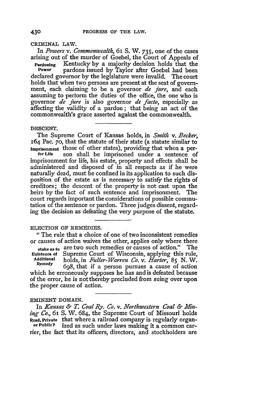**CRIMINAL LAW.**

In *Powers v. Commonwealth,* 61 **S.** W. 735, one of the cases arising out of the murder of Goebel, the Court of Appeals of

**Pardoning** Kentucky by a majority decision holds that the **Power** pardons issued **by** Taylor after Goebel had been declared governor by the legislature were invalid. The court holds that when two persons are present at the seat of government, each claiming to be a governor *de Jure,* and each assuming to perform the duties of the office, the one who is governor *de Jure* is also governor *de facto,* especially as affecting the validity of a pardon; that being an act of the commonwealth's grace asserted against the commonwealth.

#### **DESCENT.**

The Supreme Court of Kansas holds, in *Smith v. Becker,* 164 Pac. **70,** that the statute of their state (a statute similar to **imprisonment** those of other states), providing that when a per- **for Ufa** son shall be imprisoned under a sentence of imprisonment for life, his estate, property and effects shall be administered and disposed of in all respects as if he were naturally dead, must be confined in its application to such disposition of the estate as is necessary to satisfy the rights of creditors; the descent of the property is not cast upon the heirs by the fact of such sentence and imprisonment. The court regards important the considerations of possible commutation of the sentence or pardon. Three judges dissent, regarding the decision as defeating the very purpose of the statute.

# **ELECTION OF REMEDIES.**

*"The* rule that a choice of one of two inconsistent remedies or causes of action waives the other, applies only where there stake as to are two such remedies or causes of action." The **Existence of Supreme Court of Wisconsin**, applying this rule. Existence of Supreme Court of Wisconsin, applying this rule,<br>Additional bolds in *Fuller Marren Co. y. Flarter* 8r N W Additional **Suppense Court of Wisconsin, applying this fuller,**<br> **Additional** holds, in *Fuller-Warren Co. v. Harter*, 85 N. W. which he erroneously supposes he has and is defeated because of the error, he is not thereby precluded from suing over upon the proper cause of action.

# **EMINENT DOMAIN.**

In *Kansas & T. Coal Ry. Co. v. Northwestern Coal & Mining Co.,* 61 S. W. 684, the Supreme Court of Missouri holds **Road, Private** that where a railroad company is regularly organ- **or Public?** ized as such under laws making it a common carrier, the fact that its officers, directors, and stockholders are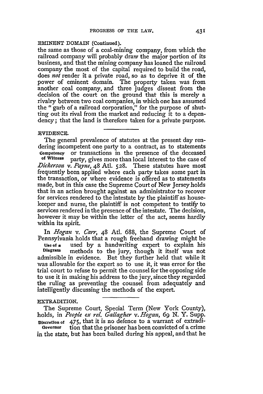### **EMINENT** DOMAIN (Continued).

the same as those of a coal-mining company, from which the railroad company will probably draw the major portion of its business, and that the mining company has loaned the railroad company the most of the capital required to build the road, does *not* render it a private road, so as to deprive it of the power of eminent domain. The property taken was from another coal company, and three judges dissent from the decision of the court on the ground that this is merely a rivalry between two coal companies, in which one has assumed the "garb of a railroad corporation," for the purpose of shutting out its rival from the market and reducing it to a dependency; that the land is therefore taken for a private purpose.

#### EVIDENCE.

The general prevalence of statutes at the present day rendering incompetent one party to a contract, as to statements Competency or transactions in the presence of the deceased<br>of Witness party gives more than local interest to the case of party, gives more than local interest to the case of *Dickerson v. Payne,* 48 Atl. 528. These statutes have most frequently been applied where each party takes some part in the transaction, or where evidence is offered as to statements made, but in this case the Supreme Court of New Jersey holds that in an action brought against an administrator to recover for services rendered to the intestate by the plaintiff as housekeeper and nurse, the plaintiff is not competent to testify to services rendered in the presence of the intestate. The decision, however it may be within the letter of the act, seems hardly within its spirit.

In *Hogan v. Carr*, 48 Atl. 688, the Supreme Court of Pennsylvania holds that a rough freehand drawing might be **Use of a** used **by** a handwriting expert to explain his **Diagram** methods to the jury, though it itself was not admissible in evidence. But they further held that while it was allowable for the expert so to use it, it was error for the trial court to refuse to permit the counsel for the opposing side to use it in making his address to the jury, since they regarded the ruling as preventing the counsel from adequately and intelligently discussing the methods of the expert.

# EXTRADITION.

The Supreme Court, Special Term (New York County), holds, in *People ex rel. Gallagher v. Hogan,* 69 **N.** Y. Supp. **Discretion of** 475, that it is no defence to a warrant of extradi-Governor tion that the prisoner has been convicted of a crime

in the state, but has been bailed during his appeal, and that he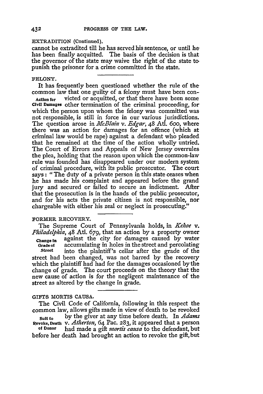#### EXTRADITION (Continued).

cannot be extradited till he has served his sentence, or until he has been finally acquitted. The basis of the decision is that the governor of the state may waive the right of the state to, punish the prisoner for a crime committed in the state.

### FELONY.

It has frequently been questioned whether the rule of the common law that one guilty of a felony must have been con-**Action for** victed or acquitted, or that there have been some Civil **Damages** other termination of the criminal proceeding, for which the person upon whom the felony was committed was not responsible, is still in force in our various jurisdictions. The question arose in *McBlain v. Edgar*, 48 Atl. 600, where there was an action for damages for an offence (which at criminal law would be rape) against a defendant who pleaded that he remained at the time of the action wholly untried. The Court of Errors and Appeals of New Jersey overrules the plea, holding that the reason upon which the common-law rule was founded has disappeared under our modern system of criminal procedure, with its public prosecutor. The court says: "The duty of a private person in this state ceases when he has made his complaint and appeared before the grand jury and secured or failed to secure an indictment. After that the prosecution is in the hands of the public prosecutor, and for his acts the private citizen is not responsible, nor chargeable with either his zeal or neglect in prosecuting."

# FORMER RECOVERY.

The Supreme Court of Pennsylvania holds, in *Kehoe* v. *Philadelphia, 48* **AU. 679,** that an action by a property owner **Change In** against the city for damages caused by water **Grade of** accumulating in holes in the street and percolating **Street** into the plaintiff's cellar after the grade of the street had been changed, was not barred by the recovery which the plaintiff had had for the damages occasioned by the change of grade. The court proceeds on the theory that the new cause of action is for the negligent maintenance of the street as altered by the change in grade.

# GIFTS MORTIS **CAUSA.**

The Civil Code of California, following in this respect the common law, allows gifts made in view of death to be revoked

**Sut to** by the giver at any time before death. In *Adams* Revoke, **Death** v. *Atherton,* 64 Pac. 283, it appeared that a person

**of Donor** had made a gift *mortis causa* to the defendant, but before her death had brought an action to revoke the gift, but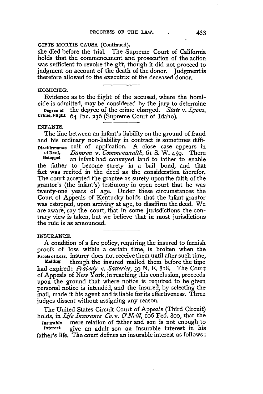# GIFTS **MORTIS CAUSA** (Continued).

she died before the trial. The Supreme Court of California holds that the commencement and prosecution of the action was sufficient to revoke the gift, though it did not proceed to judgment on account of the death of the donor. Judgment is therefore allowed to the executrix of the deceased donor.

# **HOMICIDE.**

Evidence as to the flight of the accused, where the homicide is admitted, may be considered by the jury to determine

Degree of the degree of the crime charged. *State v. Lyons,* Crime, **Flight** 64 Pac. 236 (Supreme Court of Idaho).

#### **INFANTS.**

The line between an infant's liability on the ground of fraud and his ordinary non-liability in contract is sometimes diffi-**Disafiirmance** cult of application. A close case appears in

*Damron v. Commonwealth*, 61 S. W. 459. There **Estoppel** an infant had conveyed land to father to enable the father to become surety in a bail bond, and that fact was recited in the deed as the consideration therefor. The court accepted the grantee as surety upon the faith of the grantor's (the infant's) testimony in open court that he was twenty-one years of age. Under these circumstances the Court of Appeals of Kentucky holds that the infant grantor was estopped, upon arriving at age, to disaffirm the deed. We are aware, say the court, that in some jurisdictions the contrary view is taken, but we believe that in most jurisdictions the rule is as announced.

#### **INSURANCE.**

A condition of a fire policy, requiring the insured to furnish proofs of loss within a certain time, is broken when the Proofs **of** Loss, insurer does not receive them until after such time,

**Mailing** though the insured mailed them before the time had expired: *Peabody v. Satterlee, 59* N. E. 818. The Court of Appeals of New York, in reaching this conclusion, proceeds upon the ground that where notice is required to be given personal notice is intended, and the insured, by selecting the mail, made it his agent and is liable for its effectiveness. Three judges dissent without assigning any reason.

The United States Circuit Court of Appeals (Third Circuit) holds, in *Life Insurance Co. v. O'Neill,* io6 Fed. 8oo, that the

Insurable mere relation of father and son is not enough to **Interest** give an adult son an insurable interest in his father's life. The court defines an insurable interest as follows: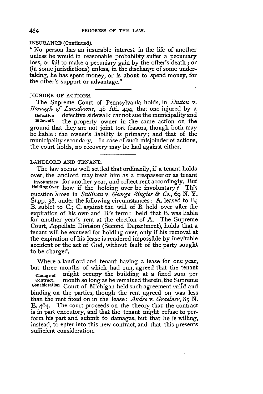#### **INSURANCE** (Continued).

**"** No person has an insurable interest in the life of another unless he would in reasonable probability suffer a pecuniary loss, or fail to make a pecuniary gain by the other's death; or (in some jurisdictions) unless, in the discharge of some undertaking, he has spent money, or is about to spend money, for the other's support or advantage."

## JOINDER OF ACTIONS.

The Supreme Court of Pennsylvania holds, in *Dutton v. Borough of Lansdowne,* 48 Atl. 494, that one injured by a **Defective** defective sidewalk cannot sue the municipality and **Sidewalk** the property owner in the same action on the ground that they are not joint tort feasors, though both may be liable: the owner's liability is primary; and that of the municipality secondary. In case of such misjoinder of actions, the court holds, no recovery may be had against either.

# LANDLORD **AND TENANT.**

The law seems well settled that ordinarily, if a tenant holds over, the landlord may treat him as a trespasser or as tenant **Involuntary** for another year, and collect rent accordingly. But **Holding** Over how if the holding over be involuntary? This question arose in *Sullivan v. George Ringler & Co., 69* N. Y. Supp. 38, under the following circumstances: A. leased to B.; B. sublet to C.; C. against the will of B. held over after the expiration of his own and B.'s term: held that B. was liable for another year's rent at the election of A. The Supreme Court, Appellate Division (Second Department), holds that a tenant will be excused for holding over, only if his removal at the expiration of his lease is rendered impossible by inevitable accident or the act of God, without fault of the party sought to be charged.

Where a landlord and tenant having a lease for one year, but three months of which had run, agreed that the tenant **Changeof** might occupy the building at a fixed sum per **Contract,** month so long as he remained therein, the Supreme **Consideration** Court of Michigan held such agreement valid and binding on the parties, though the rent agreed on was less than the rent fixed on in the lease: *Andre v. Graelner,* 85 N. E. 464. The court proceeds on the theory that the contract is in part executory, and that the tenant might refuse to perform his part and submit to damages, but that he is willing, instead, to enter into this new contract, and that this presents sufficient consideration.

434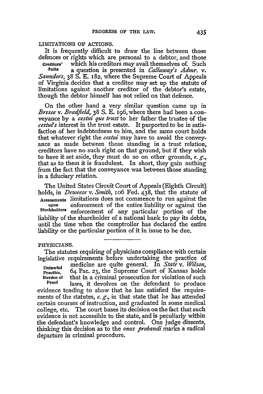### LIMITATIONS **OF** ACTIONS.

It is frequently difficult to draw the line between those defences or rights which are personal to a debtor, and those

**Creditors'** which his creditors may avail themselves of. Such<br>Suits a question is presented in *Callasuay's Admr* y. **Suits** a question is presented in *Callaway's Admnr. v. Saunders,* 38 **S. E.** 182, where the Supreme Court of Appeals of Virginia decides that a creditor may set up the statute of limitations against another creditor of the debtor's estate, though the debtor himself has not relied on that defence.

On the other hand a very similar question came up in *Bresee v. Bradfield,* 38 **S. E.** 196, where there had been a conveyance by a *cestui que trust* to her father the trustee of the *cestu's* interest in the trust estate. It purported to be in satisfaction of her indebtedness to him, and the same court holds that whatever right the *cestui* may have to avoid the conveyance as made between those standing in a trust relation, creditors have no such right on that ground, but if they wish to have it set aside, they must do so on other grounds, *e. g.,* that as to them it is fraudulent. In short, they gain nothing from the fact that the conveyance was between those standing in a fiduciary relation.

The United States Circuit Court of Appeals (Eighth Circuit) holds, in *Deweese v. Smith,* io6 Fed. 438, that the statute of **Assessments** limitations does not commence to run against the **upon** enforcement of the entire liability or against the **Stockholders** enforcement of any particular portion of the liability of the shareholder of a national bank to pay its debts, until the time when the comptroller has declared the entire liability or the particular portion of it in issue to be due.

#### PHYSICIANS.

The statutes requiring of physicians compliance with certain legislative requirements before undertaking the practice of

**Unlawful** medicine are quite general. In *State v. Wilson,* **Practice,** 64 Pac. **23,** the Supreme Court of Kansas holds **Burden of** that in a criminal prosecution for violation of such Proof laws, it devolves on the defendant to produce

evidence tending to show that he has satisfied the requirements of the statutes, *e. g.,* in that state that he has attended certain courses of instruction, and graduated in some medical college, etc. The court bases its decision on the fact that such evidence is not accessible to the state, and is peculiarly within the defendant's knowledge and control. One judge dissents, thinking this decision as to the *onus probandi* marks a radical departure in criminal procedure.